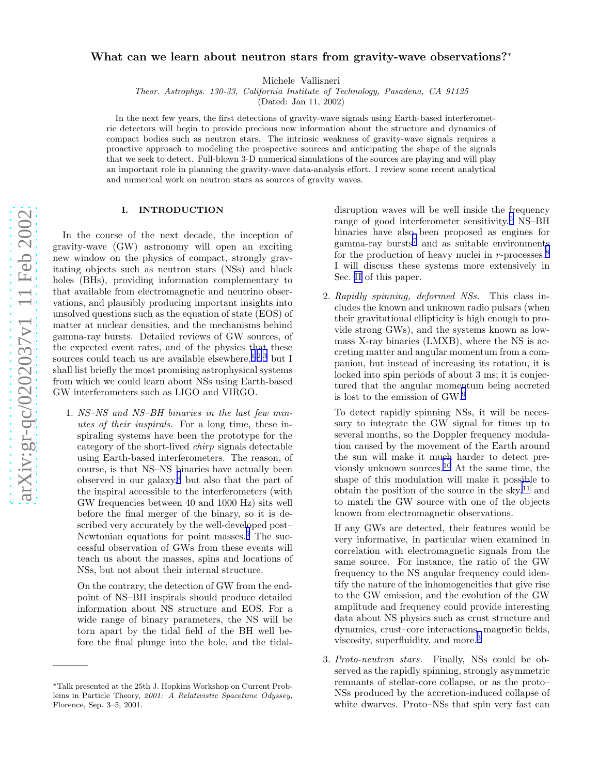# <span id="page-0-0"></span>What can we learn about neutron stars from gravity-wave observations?<sup>\*</sup>

Michele Vallisneri

*Theor. Astrophys. 130-33, California Institute of Technology, Pasadena, CA 91125*

(Dated: Jan 11, 2002)

In the next few years, the first detections of gravity-wave signals using Earth-based interferometric detectors will begin to provide precious new information about the structure and dynamics of compact bodies such as neutron stars. The intrinsic weakness of gravity-wave signals requires a proactive approach to modeling the prospective sources and anticipating the shape of the signals that we seek to detect. Full-blown 3-D numerical simulations of the sources are playing and will play an important role in planning the gravity-wave data-analysis effort. I review some recent analytical and numerical work on neutron stars as sources of gravity waves.

# I. INTRODUCTION

In the course of the next decade, the inception of gravity-wave (GW) astronomy will open an exciting new window on the physics of compact, strongly gravitating objects such as neutron stars (NSs) and black holes (BHs), providing information complementary to that available from electromagnetic and neutrino observations, and plausibly producing important insights into unsolved questions such as the equation of state (EOS) of matter at nuclear densities, and the mechanisms behind gamma-ray bursts. Detailed reviews of GW sources, of the expected event rates, and of the physics that these sources could teach us are available elsewhere,  $1,2,3$  but I shall list briefly the most promising astrophysical systems from which we could learn about NSs using Earth-based GW interferometers such as LIGO and VIRGO.

1. NS–NS and NS–BH binaries in the last few minutes of their inspirals. For a long time, these inspiraling systems have been the prototype for the category of the short-lived chirp signals detectable using Earth-based interferometers. The reason, of course, is that NS–NS binaries have actually been observed in our galaxy, [4](#page-5-0) but also that the part of the inspiral accessible to the interferometers (with GW frequencies between 40 and 1000 Hz) sits well before the final merger of the binary, so it is described very accurately by the well-developed post– Newtonian equations for point masses. [5](#page-5-0) The successful observation of GWs from these events will teach us about the masses, spins and locations of NSs, but not about their internal structure.

On the contrary, the detection of GW from the endpoint of NS–BH inspirals should produce detailed information about NS structure and EOS. For a wide range of binary parameters, the NS will be torn apart by the tidal field of the BH well before the final plunge into the hole, and the tidal-

disruption waves will be well inside the frequency range of good interferometer sensitivity. [6](#page-5-0) NS–BH binaries have also been proposed as engines for gamma-ray bursts [7](#page-5-0) and as suitable environments for the production of heavy nuclei in r-processes.<sup>[8](#page-5-0)</sup> I will discuss these systems more extensively in Sec. II of this paper.

2. Rapidly spinning, deformed NSs. This class includes the known and unknown radio pulsars (when their gravitational ellipticity is high enough to provide strong GWs), and the systems known as lowmass X-ray binaries (LMXB), where the NS is accreting matter and angular momentum from a companion, but instead of increasing its rotation, it is locked into spin periods of about 3 ms; it is conjectured that the angular momentum being accreted is lost to the emission of GW. [9](#page-5-0)

To detect rapidly spinning NSs, it will be necessary to integrate the GW signal for times up to several months, so the Doppler frequency modulation caused by the movement of the Earth around the sun will make it much harder to detect previously unknown sources.[10](#page-5-0) At the same time, the shape of this modulation will make it possible to obtain the position of the source in the sky, $^{11}$  $^{11}$  $^{11}$  and to match the GW source with one of the objects known from electromagnetic observations.

If any GWs are detected, their features would be very informative, in particular when examined in correlation with electromagnetic signals from the same source. For instance, the ratio of the GW frequency to the NS angular frequency could identify the nature of the inhomogeneities that give rise to the GW emission, and the evolution of the GW amplitude and frequency could provide interesting data about NS physics such as crust structure and dynamics, crust–core interactions, magnetic fields, viscosity, superfluidity, and more. [3](#page-5-0)

3. Proto-neutron stars. Finally, NSs could be observed as the rapidly spinning, strongly asymmetric remnants of stellar-core collapse, or as the proto– NSs produced by the accretion-induced collapse of white dwarves. Proto–NSs that spin very fast can

<sup>∗</sup>Talk presented at the 25th J. Hopkins Workshop on Current Problems in Particle Theory, 2001: A Relativistic Spacetime Odyssey, Florence, Sep. 3–5, 2001.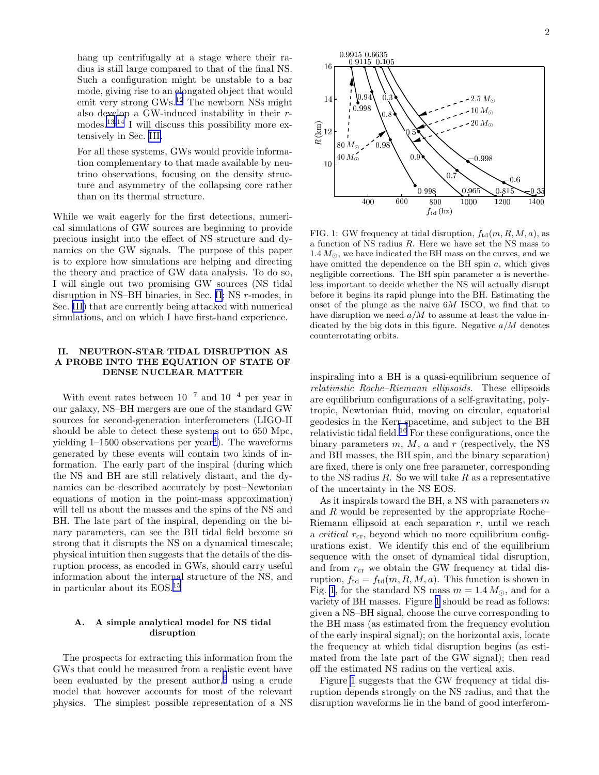hang up centrifugally at a stage where their radius is still large compared to that of the final NS. Such a configuration might be unstable to a bar mode, giving rise to an elongated object that would emit very strong GWs.[12](#page-5-0) The newborn NSs might also develop a GW-induced instability in their r-modes.<sup>[13,14](#page-5-0)</sup> I will discuss this possibility more extensively in Sec. [III.](#page-2-0)

For all these systems, GWs would provide information complementary to that made available by neutrino observations, focusing on the density structure and asymmetry of the collapsing core rather than on its thermal structure.

While we wait eagerly for the first detections, numerical simulations of GW sources are beginning to provide precious insight into the effect of NS structure and dynamics on the GW signals. The purpose of this paper is to explore how simulations are helping and directing the theory and practice of GW data analysis. To do so, I will single out two promising GW sources (NS tidal disruption in NS–BH binaries, in Sec. [II](#page-0-0); NS r-modes, in Sec. [III\)](#page-2-0) that are currently being attacked with numerical simulations, and on which I have first-hand experience.

## II. NEUTRON-STAR TIDAL DISRUPTION AS A PROBE INTO THE EQUATION OF STATE OF DENSE NUCLEAR MATTER

With event rates between  $10^{-7}$  and  $10^{-4}$  per year in our galaxy, NS–BH mergers are one of the standard GW sources for second-generation interferometers (LIGO-II should be able to detect these systems out to 650 Mpc, yielding 1–1500 observations per year[3](#page-5-0) ). The waveforms generated by these events will contain two kinds of information. The early part of the inspiral (during which the NS and BH are still relatively distant, and the dynamics can be described accurately by post–Newtonian equations of motion in the point-mass approximation) will tell us about the masses and the spins of the NS and BH. The late part of the inspiral, depending on the binary parameters, can see the BH tidal field become so strong that it disrupts the NS on a dynamical timescale; physical intuition then suggests that the details of the disruption process, as encoded in GWs, should carry useful information about the internal structure of the NS, and in particular about its EOS.[15](#page-5-0)

## A. A simple analytical model for NS tidal disruption

The prospects for extracting this information from the GWs that could be measured from a realistic event have been evaluated by the present author,<sup>[6](#page-5-0)</sup> using a crude model that however accounts for most of the relevant physics. The simplest possible representation of a NS

2



FIG. 1: GW frequency at tidal disruption,  $f_{\text{td}}(m, R, M, a)$ , as a function of NS radius R. Here we have set the NS mass to  $1.4 M_{\odot}$ , we have indicated the BH mass on the curves, and we have omitted the dependence on the BH spin  $a$ , which gives negligible corrections. The BH spin parameter  $a$  is nevertheless important to decide whether the NS will actually disrupt before it begins its rapid plunge into the BH. Estimating the onset of the plunge as the naive 6M ISCO, we find that to have disruption we need  $a/M$  to assume at least the value indicated by the big dots in this figure. Negative  $a/M$  denotes counterrotating orbits.

inspiraling into a BH is a quasi-equilibrium sequence of relativistic Roche–Riemann ellipsoids. These ellipsoids are equilibrium configurations of a self-gravitating, polytropic, Newtonian fluid, moving on circular, equatorial geodesics in the Kerr spacetime, and subject to the BH relativistic tidal field.[16](#page-5-0) For these configurations, once the binary parameters  $m, M, a$  and r (respectively, the NS and BH masses, the BH spin, and the binary separation) are fixed, there is only one free parameter, corresponding to the NS radius  $R$ . So we will take  $R$  as a representative of the uncertainty in the NS EOS.

As it inspirals toward the BH, a NS with parameters  $m$ and R would be represented by the appropriate Roche– Riemann ellipsoid at each separation  $r$ , until we reach a *critical*  $r_{cr}$ , beyond which no more equilibrium configurations exist. We identify this end of the equilibrium sequence with the onset of dynamical tidal disruption, and from  $r_{cr}$  we obtain the GW frequency at tidal disruption,  $f_{\text{td}} = f_{\text{td}}(m, R, M, a)$ . This function is shown in Fig. 1, for the standard NS mass  $m = 1.4 M_{\odot}$ , and for a variety of BH masses. Figure 1 should be read as follows: given a NS–BH signal, choose the curve corresponding to the BH mass (as estimated from the frequency evolution of the early inspiral signal); on the horizontal axis, locate the frequency at which tidal disruption begins (as estimated from the late part of the GW signal); then read off the estimated NS radius on the vertical axis.

Figure 1 suggests that the GW frequency at tidal disruption depends strongly on the NS radius, and that the disruption waveforms lie in the band of good interferom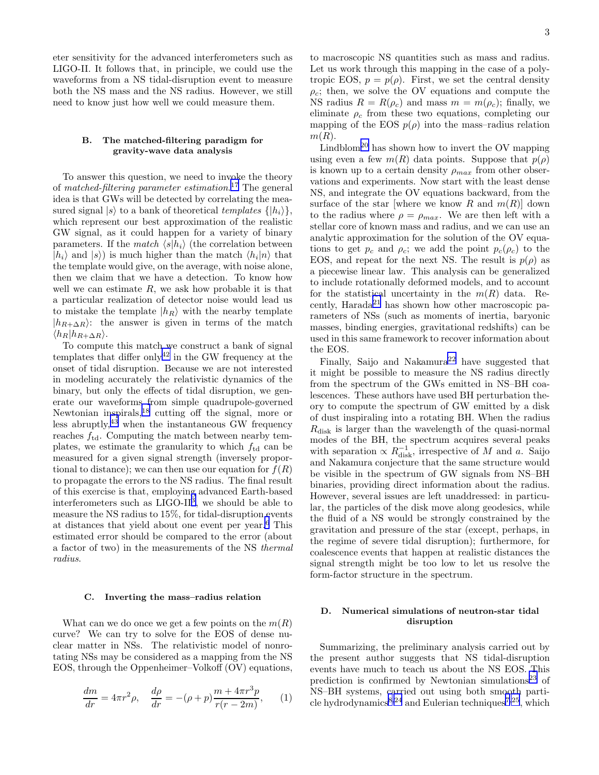<span id="page-2-0"></span>eter sensitivity for the advanced interferometers such as LIGO-II. It follows that, in principle, we could use the waveforms from a NS tidal-disruption event to measure both the NS mass and the NS radius. However, we still need to know just how well we could measure them.

#### B. The matched-filtering paradigm for gravity-wave data analysis

To answer this question, we need to invoke the theory of matched-filtering parameter estimation.<sup>[17](#page-5-0)</sup> The general idea is that GWs will be detected by correlating the measured signal  $|s\rangle$  to a bank of theoretical templates  $\{|h_i\rangle\},\$ which represent our best approximation of the realistic GW signal, as it could happen for a variety of binary parameters. If the match  $\langle s|h_i \rangle$  (the correlation between  $|h_i\rangle$  and  $|s\rangle$  is much higher than the match  $\langle h_i|n\rangle$  that the template would give, on the average, with noise alone, then we claim that we have a detection. To know how well we can estimate  $R$ , we ask how probable it is that a particular realization of detector noise would lead us to mistake the template  $|h_R\rangle$  with the nearby template  $|h_{R+\Delta R}\rangle$ : the answer is given in terms of the match  $\langle h_R|h_{R+\Delta R}\rangle$ .

To compute this match we construct a bank of signal templates that differ only<sup>[42](#page-5-0)</sup> in the GW frequency at the onset of tidal disruption. Because we are not interested in modeling accurately the relativistic dynamics of the binary, but only the effects of tidal disruption, we generate our waveforms from simple quadrupole-governed Newtonian inspirals,[18](#page-5-0) cutting off the signal, more or less abruptly, $43$  when the instantaneous GW frequency reaches  $f_{\text{td}}$ . Computing the match between nearby templates, we estimate the granularity to which  $f_{\text{td}}$  can be measured for a given signal strength (inversely proportional to distance); we can then use our equation for  $f(R)$ to propagate the errors to the NS radius. The final result of this exercise is that, employing advanced Earth-based interferometers such as LIGO-II<sup>[3](#page-5-0)</sup>, we should be able to measure the NS radius to 15%, for tidal-disruption events at distances that yield about one event per year.[6](#page-5-0) This estimated error should be compared to the error (about a factor of two) in the measurements of the NS thermal radius.

#### C. Inverting the mass–radius relation

What can we do once we get a few points on the  $m(R)$ curve? We can try to solve for the EOS of dense nuclear matter in NSs. The relativistic model of nonrotating NSs may be considered as a mapping from the NS EOS, through the Oppenheimer–Volkoff (OV) equations,

$$
\frac{dm}{dr} = 4\pi r^2 \rho, \quad \frac{d\rho}{dr} = -(\rho + p)\frac{m + 4\pi r^3 p}{r(r - 2m)},\qquad(1)
$$

to macroscopic NS quantities such as mass and radius. Let us work through this mapping in the case of a polytropic EOS,  $p = p(\rho)$ . First, we set the central density  $\rho_c$ ; then, we solve the OV equations and compute the NS radius  $R = R(\rho_c)$  and mass  $m = m(\rho_c)$ ; finally, we eliminate  $\rho_c$  from these two equations, completing our mapping of the EOS  $p(\rho)$  into the mass–radius relation  $m(R)$ .

 $Lindblom<sup>20</sup>$  $Lindblom<sup>20</sup>$  $Lindblom<sup>20</sup>$  has shown how to invert the OV mapping using even a few  $m(R)$  data points. Suppose that  $p(\rho)$ is known up to a certain density  $\rho_{max}$  from other observations and experiments. Now start with the least dense NS, and integrate the OV equations backward, from the surface of the star [where we know R and  $m(R)$ ] down to the radius where  $\rho = \rho_{max}$ . We are then left with a stellar core of known mass and radius, and we can use an analytic approximation for the solution of the OV equations to get  $p_c$  and  $\rho_c$ ; we add the point  $p_c(\rho_c)$  to the EOS, and repeat for the next NS. The result is  $p(\rho)$  as a piecewise linear law. This analysis can be generalized to include rotationally deformed models, and to account for the statistical uncertainty in the  $m(R)$  data. Recently, Harada[21](#page-5-0) has shown how other macroscopic parameters of NSs (such as moments of inertia, baryonic masses, binding energies, gravitational redshifts) can be used in this same framework to recover information about the EOS.

Finally, Saijo and Nakamura<sup>[22](#page-5-0)</sup> have suggested that it might be possible to measure the NS radius directly from the spectrum of the GWs emitted in NS–BH coalescences. These authors have used BH perturbation theory to compute the spectrum of GW emitted by a disk of dust inspiraling into a rotating BH. When the radius  $R_{disk}$  is larger than the wavelength of the quasi-normal modes of the BH, the spectrum acquires several peaks with separation  $\propto R_{\text{disk}}^{-1}$ , irrespective of M and a. Saijo and Nakamura conjecture that the same structure would be visible in the spectrum of GW signals from NS–BH binaries, providing direct information about the radius. However, several issues are left unaddressed: in particular, the particles of the disk move along geodesics, while the fluid of a NS would be strongly constrained by the gravitation and pressure of the star (except, perhaps, in the regime of severe tidal disruption); furthermore, for coalescence events that happen at realistic distances the signal strength might be too low to let us resolve the form-factor structure in the spectrum.

### D. Numerical simulations of neutron-star tidal disruption

Summarizing, the preliminary analysis carried out by the present author suggests that NS tidal-disruption events have much to teach us about the NS EOS. This prediction is confirmed by Newtonian simulations<sup>[23](#page-5-0)</sup> of NS–BH systems, carried out using both smooth parti-cle hydrodynamics<sup>[8,24](#page-5-0)</sup> and Eulerian techniques<sup>[7,25](#page-5-0)</sup>, which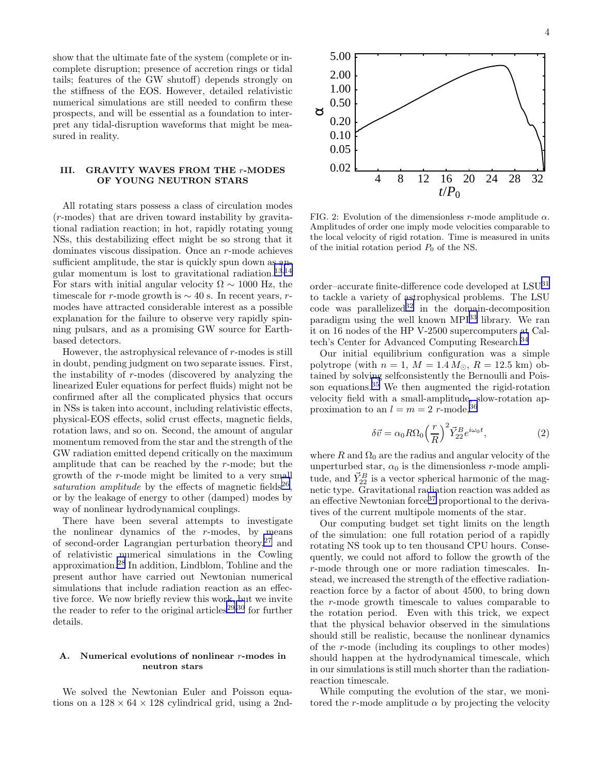<span id="page-3-0"></span>show that the ultimate fate of the system (complete or incomplete disruption; presence of accretion rings or tidal tails; features of the GW shutoff) depends strongly on the stiffness of the EOS. However, detailed relativistic numerical simulations are still needed to confirm these prospects, and will be essential as a foundation to interpret any tidal-disruption waveforms that might be measured in reality.

## III. GRAVITY WAVES FROM THE r-MODES OF YOUNG NEUTRON STARS

All rotating stars possess a class of circulation modes (r-modes) that are driven toward instability by gravitational radiation reaction; in hot, rapidly rotating young NSs, this destabilizing effect might be so strong that it dominates viscous dissipation. Once an r-mode achieves sufficient amplitude, the star is quickly spun down as angular momentum is lost to gravitational radiation. $13,14$  $13,14$  $13,14$ For stars with initial angular velocity  $\Omega \sim 1000$  Hz, the timescale for r-mode growth is  $\sim$  40 s. In recent years, rmodes have attracted considerable interest as a possible explanation for the failure to observe very rapidly spinning pulsars, and as a promising GW source for Earthbased detectors.

However, the astrophysical relevance of  $r$ -modes is still in doubt, pending judgment on two separate issues. First, the instability of r-modes (discovered by analyzing the linearized Euler equations for perfect fluids) might not be confirmed after all the complicated physics that occurs in NSs is taken into account, including relativistic effects, physical-EOS effects, solid crust effects, magnetic fields, rotation laws, and so on. Second, the amount of angular momentum removed from the star and the strength of the GW radiation emitted depend critically on the maximum amplitude that can be reached by the r-mode; but the growth of the r-mode might be limited to a very small saturation amplitude by the effects of magnetic fields<sup>[26](#page-5-0)</sup>, or by the leakage of energy to other (damped) modes by way of nonlinear hydrodynamical couplings.

There have been several attempts to investigate the nonlinear dynamics of the  $r$ -modes, by means of second-order Lagrangian perturbation theory,[27](#page-5-0) and of relativistic numerical simulations in the Cowling approximation.[28](#page-5-0) In addition, Lindblom, Tohline and the present author have carried out Newtonian numerical simulations that include radiation reaction as an effective force. We now briefly review this work, but we invite the reader to refer to the original articles<sup>[29,30](#page-5-0)</sup> for further details.

### A. Numerical evolutions of nonlinear r-modes in neutron stars

We solved the Newtonian Euler and Poisson equations on a  $128 \times 64 \times 128$  cylindrical grid, using a 2nd-



FIG. 2: Evolution of the dimensionless r-mode amplitude  $\alpha$ . Amplitudes of order one imply mode velocities comparable to the local velocity of rigid rotation. Time is measured in units of the initial rotation period  $P_0$  of the NS.

order–accurate finite-difference code developed at LSU[31](#page-5-0) to tackle a variety of astrophysical problems. The LSU  $\cot$  was parallelized<sup>[32](#page-5-0)</sup> in the domain-decomposition paradigm using the well known MPI[33](#page-5-0) library. We ran it on 16 nodes of the HP V-2500 supercomputers at Caltech's Center for Advanced Computing Research.[34](#page-5-0)

Our initial equilibrium configuration was a simple polytrope (with  $n = 1, M = 1.4 M_{\odot}, R = 12.5$  km) obtained by solving selfconsistently the Bernoulli and Poisson equations. $35$  We then augmented the rigid-rotation velocity field with a small-amplitude, slow-rotation approximation to an  $l = m = 2$  r-mode, [36](#page-5-0)

$$
\delta \vec{v} = \alpha_0 R \Omega_0 \left(\frac{r}{R}\right)^2 \vec{Y}_{22}^B e^{i\omega_0 t},\tag{2}
$$

where R and  $\Omega_0$  are the radius and angular velocity of the unperturbed star,  $\alpha_0$  is the dimensionless *r*-mode amplitude, and  $\vec{Y}_{22}^B$  is a vector spherical harmonic of the magnetic type. Gravitational radiation reaction was added as an effective Newtonian force  $37$  proportional to the derivatives of the current multipole moments of the star.

Our computing budget set tight limits on the length of the simulation: one full rotation period of a rapidly rotating NS took up to ten thousand CPU hours. Consequently, we could not afford to follow the growth of the r-mode through one or more radiation timescales. Instead, we increased the strength of the effective radiationreaction force by a factor of about 4500, to bring down the r-mode growth timescale to values comparable to the rotation period. Even with this trick, we expect that the physical behavior observed in the simulations should still be realistic, because the nonlinear dynamics of the r-mode (including its couplings to other modes) should happen at the hydrodynamical timescale, which in our simulations is still much shorter than the radiationreaction timescale.

While computing the evolution of the star, we monitored the r-mode amplitude  $\alpha$  by projecting the velocity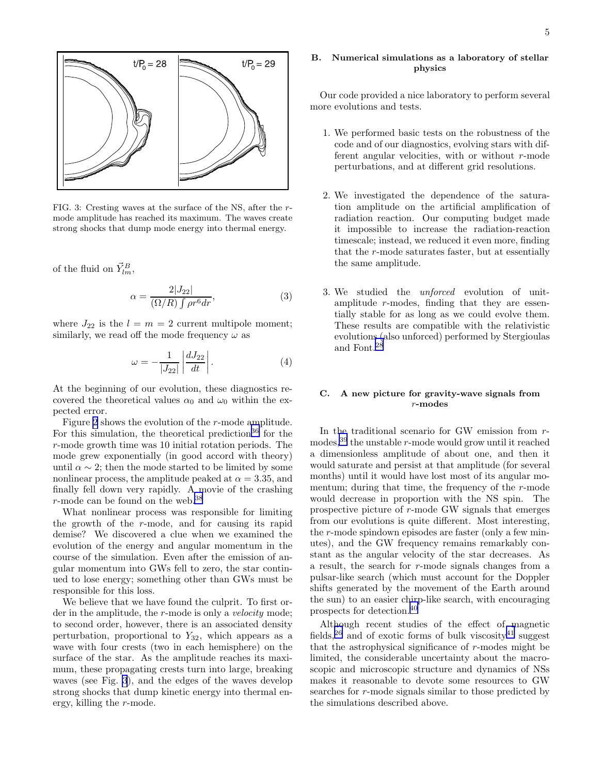

FIG. 3: Cresting waves at the surface of the NS, after the rmode amplitude has reached its maximum. The waves create strong shocks that dump mode energy into thermal energy.

of the fluid on  $\vec{Y}_{lm}^B$ ,

$$
\alpha = \frac{2|J_{22}|}{(\Omega/R)\int \rho r^6 dr},\tag{3}
$$

where  $J_{22}$  is the  $l = m = 2$  current multipole moment; similarly, we read off the mode frequency  $\omega$  as

$$
\omega = -\frac{1}{|J_{22}|} \left| \frac{dJ_{22}}{dt} \right|.
$$
 (4)

At the beginning of our evolution, these diagnostics recovered the theoretical values  $\alpha_0$  and  $\omega_0$  within the expected error.

Figure [2](#page-3-0) shows the evolution of the r-mode amplitude. For this simulation, the theoretical prediction<sup>[36](#page-5-0)</sup> for the r-mode growth time was 10 initial rotation periods. The mode grew exponentially (in good accord with theory) until  $\alpha \sim 2$ ; then the mode started to be limited by some nonlinear process, the amplitude peaked at  $\alpha = 3.35$ , and finally fell down very rapidly. A movie of the crashing  $r$ -mode can be found on the web.<sup>[38](#page-5-0)</sup>

What nonlinear process was responsible for limiting the growth of the r-mode, and for causing its rapid demise? We discovered a clue when we examined the evolution of the energy and angular momentum in the course of the simulation. Even after the emission of angular momentum into GWs fell to zero, the star continued to lose energy; something other than GWs must be responsible for this loss.

We believe that we have found the culprit. To first order in the amplitude, the *r*-mode is only a *velocity* mode; to second order, however, there is an associated density perturbation, proportional to  $Y_{32}$ , which appears as a wave with four crests (two in each hemisphere) on the surface of the star. As the amplitude reaches its maximum, these propagating crests turn into large, breaking waves (see Fig. 3), and the edges of the waves develop strong shocks that dump kinetic energy into thermal energy, killing the r-mode.

## B. Numerical simulations as a laboratory of stellar physics

Our code provided a nice laboratory to perform several more evolutions and tests.

- 1. We performed basic tests on the robustness of the code and of our diagnostics, evolving stars with different angular velocities, with or without  $r$ -mode perturbations, and at different grid resolutions.
- 2. We investigated the dependence of the saturation amplitude on the artificial amplification of radiation reaction. Our computing budget made it impossible to increase the radiation-reaction timescale; instead, we reduced it even more, finding that the r-mode saturates faster, but at essentially the same amplitude.
- 3. We studied the unforced evolution of unitamplitude r-modes, finding that they are essentially stable for as long as we could evolve them. These results are compatible with the relativistic evolutions (also unforced) performed by Stergioulas and Font.[28](#page-5-0)

# C. A new picture for gravity-wave signals from r-modes

In the traditional scenario for GW emission from rmodes,  $39$  the unstable r-mode would grow until it reached a dimensionless amplitude of about one, and then it would saturate and persist at that amplitude (for several months) until it would have lost most of its angular momentum; during that time, the frequency of the r-mode would decrease in proportion with the NS spin. The prospective picture of r-mode GW signals that emerges from our evolutions is quite different. Most interesting, the r-mode spindown episodes are faster (only a few minutes), and the GW frequency remains remarkably constant as the angular velocity of the star decreases. As a result, the search for r-mode signals changes from a pulsar-like search (which must account for the Doppler shifts generated by the movement of the Earth around the sun) to an easier chirp-like search, with encouraging prospects for detection.[40](#page-5-0)

Although recent studies of the effect of magnetic fields,<sup>[26](#page-5-0)</sup> and of exotic forms of bulk viscosity<sup>[41](#page-5-0)</sup> suggest that the astrophysical significance of  $r$ -modes might be limited, the considerable uncertainty about the macroscopic and microscopic structure and dynamics of NSs makes it reasonable to devote some resources to GW searches for r-mode signals similar to those predicted by the simulations described above.